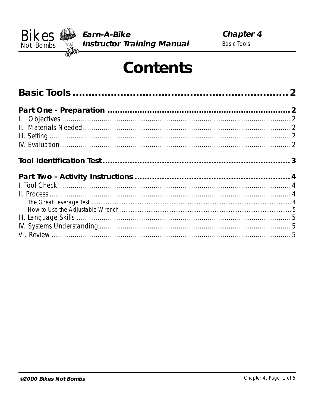

# **Contents**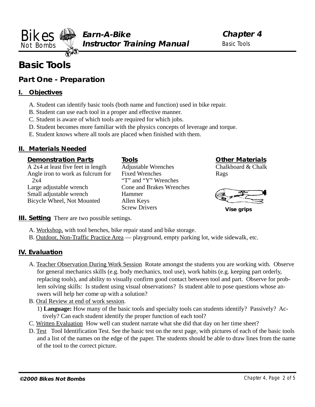<span id="page-1-0"></span>**Earn-A-Bike Instructor Training Manual** Bikes Not Bombs

**Chapter 4** Basic Tools

# **Basic Tools**

# **Part One - Preparation**

# **I. Objectives**

- A. Student can identify basic tools (both name and function) used in bike repair.
- B. Student can use each tool in a proper and effective manner.
- C. Student is aware of which tools are required for which jobs.
- D. Student becomes more familiar with the physics concepts of leverage and torque.
- E. Student knows where all tools are placed when finished with them.

# **II. Materials Needed**

#### **Demonstration Parts**

A 2x4 at least five feet in length Angle iron to work as fulcrum for 2x4 Large adjustable wrench Small adjustable wrench Bicycle Wheel, Not Mounted

**Tools** Adjustable Wrenches Fixed Wrenches "T" and "Y" Wrenches Cone and Brakes Wrenches Hammer Allen Keys Screw Drivers

# **Other Materials**

Chalkboard & Chalk Rags



**Vise grips**

#### **III. Setting** There are two possible settings.

- A. Workshop, with tool benches, bike repair stand and bike storage.
- B. Outdoor, Non-Traffic Practice Area playground, empty parking lot, wide sidewalk, etc.

#### **IV. Evaluation**

- A. Teacher Observation During Work Session Rotate amongst the students you are working with. Observe for general mechanics skills (e.g. body mechanics, tool use), work habits (e.g. keeping part orderly, replacing tools), and ability to visually confirm good contact between tool and part. Observe for problem solving skills: Is student using visual observations? Is student able to pose questions whose answers will help her come up with a solution?
- B. Oral Review at end of work session.

1) **Language:** How many of the basic tools and specialty tools can students identify? Passively? Actively? Can each student identify the proper function of each tool?

- C. Written Evaluation How well can student narrate what she did that day on her time sheet?
- D. Test Tool Identification Test. See the basic test on the next page, with pictures of each of the basic tools and a list of the names on the edge of the paper. The students should be able to draw lines from the name of the tool to the correct picture.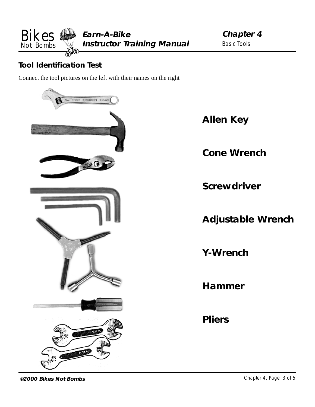<span id="page-2-0"></span>

# **Tool Identification Test**

Connect the tool pictures on the left with their names on the right



**Allen Key**

**Cone Wrench**

**Screwdriver**

**Adjustable Wrench**

**Y-Wrench**

**Hammer**

**Pliers**

**©2000 Bikes Not Bombs** Chapter 4, Page 3 of 5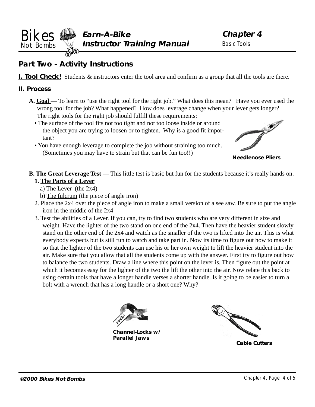<span id="page-3-0"></span>**Earn-A-Bike Instructor Training Manual** Bikes Not Bombs

**Chapter 4** Basic Tools

# **Part Two - Activity Instructions**

**I. Tool Check!** Students  $\&$  instructors enter the tool area and confirm as a group that all the tools are there.

#### **II. Process**

- **A. Goal** To learn to "use the right tool for the right job." What does this mean? Have you ever used the wrong tool for the job? What happened? How does leverage change when your lever gets longer? The right tools for the right job should fulfill these requirements:
	- The surface of the tool fits not too tight and not too loose inside or around the object you are trying to loosen or to tighten. Why is a good fit important?
	- You have enough leverage to complete the job without straining too much. (Sometimes you may have to strain but that can be fun too!!)



**Needlenose Pliers**

# **B.** The Great Leverage Test — This little test is basic but fun for the students because it's really hands on. **1. The Parts of a Lever**

- a) The Lever (the 2x4)
- b) The fulcrum (the piece of angle iron)
- 2. Place the 2x4 over the piece of angle iron to make a small version of a see saw. Be sure to put the angle iron in the middle of the 2x4
- 3. Test the abilities of a Lever. If you can, try to find two students who are very different in size and weight. Have the lighter of the two stand on one end of the 2x4. Then have the heavier student slowly stand on the other end of the 2x4 and watch as the smaller of the two is lifted into the air. This is what everybody expects but is still fun to watch and take part in. Now its time to figure out how to make it so that the lighter of the two students can use his or her own weight to lift the heavier student into the air. Make sure that you allow that all the students come up with the answer. First try to figure out how to balance the two students. Draw a line where this point on the lever is. Then figure out the point at which it becomes easy for the lighter of the two the lift the other into the air. Now relate this back to using certain tools that have a longer handle verses a shorter handle. Is it going to be easier to turn a bolt with a wrench that has a long handle or a short one? Why?



**Channel-Locks w/ Parallel Jaws**